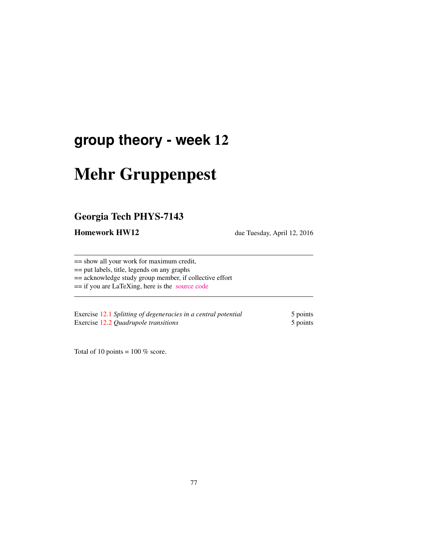# **group theory - week** 12

# Mehr Gruppenpest

## Georgia Tech PHYS-7143

Homework HW12 due Tuesday, April 12, 2016

== show all your work for maximum credit,

== put labels, title, legends on any graphs

== acknowledge study group member, if collective effort

== if you are LaTeXing, here is the [source code](http://birdtracks.eu/courses/PHYS-7143-16/exerWeek12.tex)

Exercise 12.1 *Splitting of degeneracies in a central potential* 5 points Exercise 12.2 *Quadrupole transitions* 5 points

Total of 10 points =  $100\%$  score.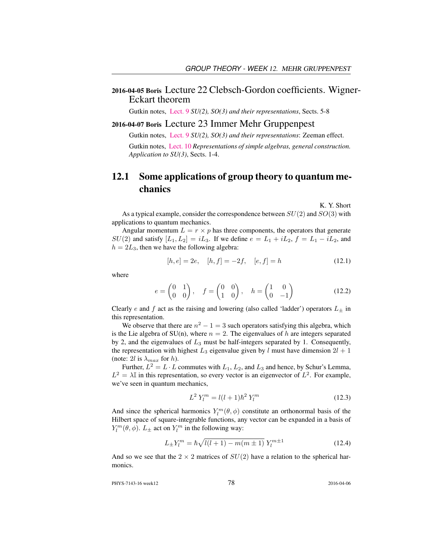#### 2016-04-05 Boris Lecture 22 Clebsch-Gordon coefficients. Wigner-Eckart theorem

Gutkin notes, [Lect. 9](http://birdtracks.eu/courses/PHYS-7143-16/groups.pdf) *SU(2), SO(3) and their representations*, Sects. 5-8

#### 2016-04-07 Boris Lecture 23 Immer Mehr Gruppenpest

Gutkin notes, [Lect. 9](http://birdtracks.eu/courses/PHYS-7143-16/groups.pdf) *SU(2), SO(3) and their representations*: Zeeman effect.

Gutkin notes, [Lect. 10](http://birdtracks.eu/courses/PHYS-7143-16/groups.pdf) *Representations of simple algebras, general construction. Application to SU(3)*, Sects. 1-4.

### 12.1 Some applications of group theory to quantum mechanics

K. Y. Short

As a typical example, consider the correspondence between  $SU(2)$  and  $SO(3)$  with applications to quantum mechanics.

Angular momentum  $L = r \times p$  has three components, the operators that generate  $SU(2)$  and satisfy  $[L_1, L_2] = iL_3$ . If we define  $e = L_1 + iL_2$ ,  $f = L_1 - iL_2$ , and  $h = 2L_3$ , then we have the following algebra:

$$
[h, e] = 2e, \quad [h, f] = -2f, \quad [e, f] = h \tag{12.1}
$$

where

$$
e = \begin{pmatrix} 0 & 1 \\ 0 & 0 \end{pmatrix}, \quad f = \begin{pmatrix} 0 & 0 \\ 1 & 0 \end{pmatrix}, \quad h = \begin{pmatrix} 1 & 0 \\ 0 & -1 \end{pmatrix}
$$
 (12.2)

Clearly e and f act as the raising and lowering (also called 'ladder') operators  $L_{\pm}$  in this representation.

We observe that there are  $n^2 - 1 = 3$  such operators satisfying this algebra, which is the Lie algebra of SU(n), where  $n = 2$ . The eigenvalues of h are integers separated by 2, and the eigenvalues of  $L_3$  must be half-integers separated by 1. Consequently, the representation with highest  $L_3$  eigenvalue given by l must have dimension  $2l + 1$ (note: 2l is  $\lambda_{max}$  for h).

Further,  $L^2 = L \cdot L$  commutes with  $L_1, L_2$ , and  $L_3$  and hence, by Schur's Lemma,  $L^2 = \lambda \mathbb{I}$  in this representation, so every vector is an eigenvector of  $L^2$ . For example, we've seen in quantum mechanics,

$$
L^2 Y_l^m = l(l+1)\hbar^2 Y_l^m \tag{12.3}
$$

And since the spherical harmonics  $Y_l^m(\theta, \phi)$  constitute an orthonormal basis of the Hilbert space of square-integrable functions, any vector can be expanded in a basis of  $Y_l^m(\theta, \phi)$ .  $L_{\pm}$  act on  $Y_l^m$  in the following way:

$$
L_{\pm}Y_l^m = \hbar\sqrt{l(l+1) - m(m \pm 1)} Y_l^{m \pm 1}
$$
 (12.4)

And so we see that the  $2 \times 2$  matrices of  $SU(2)$  have a relation to the spherical harmonics.

PHYS-7143-16 week12 2016-04-06 2016-04-06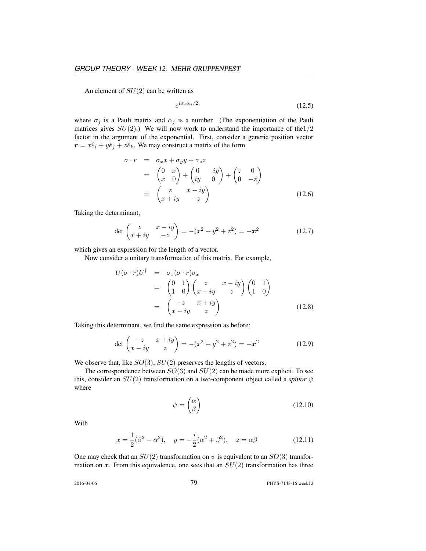An element of  $SU(2)$  can be written as

$$
e^{i\sigma_j \alpha_j/2} \tag{12.5}
$$

where  $\sigma_j$  is a Pauli matrix and  $\alpha_j$  is a number. (The exponentiation of the Pauli matrices gives  $SU(2)$ .) We will now work to understand the importance of the 1/2 factor in the argument of the exponential. First, consider a generic position vector  $r = x\hat{e}_i + y\hat{e}_j + z\hat{e}_k$ . We may construct a matrix of the form

$$
\sigma \cdot r = \sigma_x x + \sigma_y y + \sigma_z z
$$
  
=  $\begin{pmatrix} 0 & x \\ x & 0 \end{pmatrix} + \begin{pmatrix} 0 & -iy \\ iy & 0 \end{pmatrix} + \begin{pmatrix} z & 0 \\ 0 & -z \end{pmatrix}$   
=  $\begin{pmatrix} z & x - iy \\ x + iy & -z \end{pmatrix}$  (12.6)

Taking the determinant,

$$
\det \begin{pmatrix} z & x - iy \\ x + iy & -z \end{pmatrix} = -(x^2 + y^2 + z^2) = -x^2 \tag{12.7}
$$

which gives an expression for the length of a vector.

Now consider a unitary transformation of this matrix. For example,

$$
U(\sigma \cdot r)U^{\dagger} = \sigma_x(\sigma \cdot r)\sigma_x
$$
  
=  $\begin{pmatrix} 0 & 1 \\ 1 & 0 \end{pmatrix} \begin{pmatrix} z & x - iy \\ x - iy & z \end{pmatrix} \begin{pmatrix} 0 & 1 \\ 1 & 0 \end{pmatrix}$   
=  $\begin{pmatrix} -z & x + iy \\ x - iy & z \end{pmatrix}$  (12.8)

Taking this determinant, we find the same expression as before:

$$
\det \begin{pmatrix} -z & x+iy \\ x-iy & z \end{pmatrix} = -(x^2 + y^2 + z^2) = -x^2 \tag{12.9}
$$

We observe that, like  $SO(3)$ ,  $SU(2)$  preserves the lengths of vectors.

The correspondence between  $SO(3)$  and  $SU(2)$  can be made more explicit. To see this, consider an  $SU(2)$  transformation on a two-component object called a *spinor*  $\psi$ where

$$
\psi = \begin{pmatrix} \alpha \\ \beta \end{pmatrix} \tag{12.10}
$$

With

$$
x = \frac{1}{2}(\beta^2 - \alpha^2), \quad y = -\frac{i}{2}(\alpha^2 + \beta^2), \quad z = \alpha\beta
$$
 (12.11)

One may check that an  $SU(2)$  transformation on  $\psi$  is equivalent to an  $SO(3)$  transformation on x. From this equivalence, one sees that an  $SU(2)$  transformation has three

2016-04-06 79 PHYS-7143-16 week12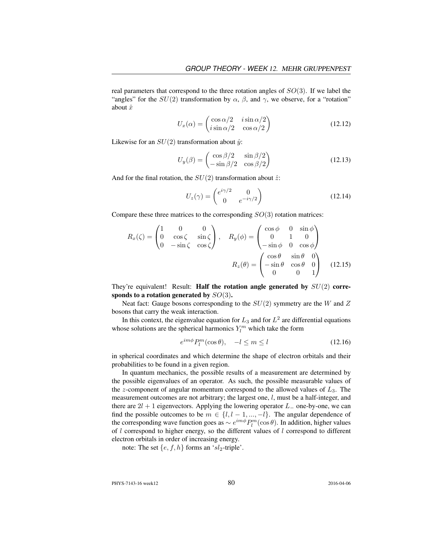real parameters that correspond to the three rotation angles of  $SO(3)$ . If we label the "angles" for the  $SU(2)$  transformation by  $\alpha$ ,  $\beta$ , and  $\gamma$ , we observe, for a "rotation" about  $\hat{x}$ 

$$
U_x(\alpha) = \begin{pmatrix} \cos \alpha/2 & i \sin \alpha/2 \\ i \sin \alpha/2 & \cos \alpha/2 \end{pmatrix}
$$
 (12.12)

Likewise for an  $SU(2)$  transformation about  $\hat{y}$ :

$$
U_y(\beta) = \begin{pmatrix} \cos \beta/2 & \sin \beta/2\\ -\sin \beta/2 & \cos \beta/2 \end{pmatrix}
$$
 (12.13)

And for the final rotation, the  $SU(2)$  transformation about  $\hat{z}$ :

$$
U_z(\gamma) = \begin{pmatrix} e^{i\gamma/2} & 0\\ 0 & e^{-i\gamma/2} \end{pmatrix}
$$
 (12.14)

Compare these three matrices to the corresponding  $SO(3)$  rotation matrices:

$$
R_x(\zeta) = \begin{pmatrix} 1 & 0 & 0 \\ 0 & \cos \zeta & \sin \zeta \\ 0 & -\sin \zeta & \cos \zeta \end{pmatrix}, \quad R_y(\phi) = \begin{pmatrix} \cos \phi & 0 & \sin \phi \\ 0 & 1 & 0 \\ -\sin \phi & 0 & \cos \phi \end{pmatrix}
$$

$$
R_z(\theta) = \begin{pmatrix} \cos \theta & \sin \theta & 0 \\ -\sin \theta & \cos \theta & 0 \\ 0 & 0 & 1 \end{pmatrix} \quad (12.15)
$$

They're equivalent! Result: **Half the rotation angle generated by**  $SU(2)$  corresponds to a rotation generated by  $SO(3)$ .

Neat fact: Gauge bosons corresponding to the  $SU(2)$  symmetry are the W and Z bosons that carry the weak interaction.

In this context, the eigenvalue equation for  $L_3$  and for  $L^2$  are differential equations whose solutions are the spherical harmonics  $Y_l^m$  which take the form

$$
e^{im\phi}P_l^m(\cos\theta), \quad -l \le m \le l \tag{12.16}
$$

in spherical coordinates and which determine the shape of electron orbitals and their probabilities to be found in a given region.

In quantum mechanics, the possible results of a measurement are determined by the possible eigenvalues of an operator. As such, the possible measurable values of the z-component of angular momentum correspond to the allowed values of  $L_3$ . The measurement outcomes are not arbitrary; the largest one, l, must be a half-integer, and there are  $2l + 1$  eigenvectors. Applying the lowering operator  $L_-\,$  one-by-one, we can find the possible outcomes to be  $m \in \{l, l-1, ..., -l\}$ . The angular dependence of the corresponding wave function goes as  $\sim e^{im\phi}P_l^m(\cos\theta)$ . In addition, higher values of  $l$  correspond to higher energy, so the different values of  $l$  correspond to different electron orbitals in order of increasing energy.

note: The set  $\{e, f, h\}$  forms an 'sl<sub>2</sub>-triple'.

e

PHYS-7143-16 week12 80 2016-04-06